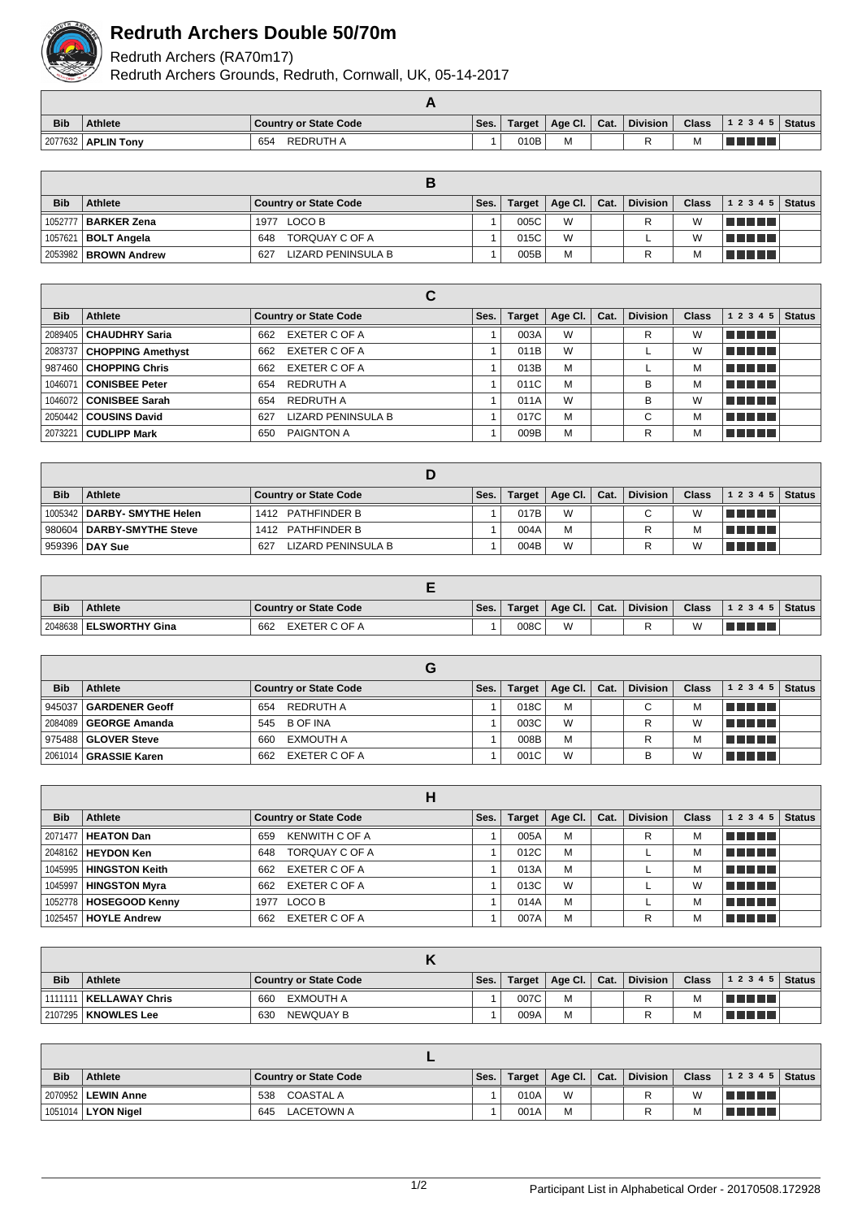

## **Redruth Archers Double 50/70m**

Redruth Archers (RA70m17)

Redruth Archers Grounds, Redruth, Cornwall, UK, 05-14-2017

| <b>Bib</b> | <b>Athlete</b>       | Country or State Code | Ses. | Target | Age Cl. $\vert$ Cat. | <b>Division</b> | <b>Class</b> | 1 2 3 4 5   Status |  |
|------------|----------------------|-----------------------|------|--------|----------------------|-----------------|--------------|--------------------|--|
|            | 2077632   APLIN Tony | REDRUTH A<br>654      |      | 010B   | М                    |                 | М            | l Titulia          |  |

| <b>Bib</b> | Athlete                      | Country or State Code     | Ses. | Target | Age Cl. Cat. | <b>Division</b> | <b>Class</b> | $12345$ Status |  |
|------------|------------------------------|---------------------------|------|--------|--------------|-----------------|--------------|----------------|--|
|            | 1052777 <b>  BARKER Zena</b> | 1977 LOCO B               |      | 005C   | W            |                 | W            | T FIFTI TILL   |  |
|            | 1057621   <b>BOLT Angela</b> | TORQUAY C OF A<br>648     |      | 015C   | W            |                 | W            | T FI FI FI     |  |
|            | 2053982 BROWN Andrew         | 627<br>LIZARD PENINSULA B |      | 005B   | M            |                 | M            | TI TI TI TI    |  |

|            |                             | С                                |      |               |         |      |                 |              |            |               |
|------------|-----------------------------|----------------------------------|------|---------------|---------|------|-----------------|--------------|------------|---------------|
| <b>Bib</b> | Athlete                     | <b>Country or State Code</b>     | Ses. | <b>Target</b> | Age CI. | Cat. | <b>Division</b> | <b>Class</b> | 1 2 3 4 5  | <b>Status</b> |
|            | 2089405   CHAUDHRY Saria    | EXETER C OF A<br>662             |      | 003A          | W       |      | R               | W            | n din Fin  |               |
|            | 2083737   CHOPPING Amethyst | EXETER C OF A<br>662             |      | 011B          | W       |      |                 | W            | T FIFTIT   |               |
|            | 987460   CHOPPING Chris     | EXETER C OF A<br>662             |      | 013B          | M       |      |                 | М            | n na mats  |               |
| 1046071    | <b>CONISBEE Peter</b>       | REDRUTH A<br>654                 |      | 011C          | M       |      | B               | М            | T FI FI FI |               |
|            | 1046072   CONISBEE Sarah    | REDRUTH A<br>654                 |      | 011A          | W       |      | B               | W            | TELET      |               |
|            | 2050442   COUSINS David     | <b>LIZARD PENINSULA B</b><br>627 |      | 017C          | M       |      | С               | м            | T FIFTIT   |               |
| 2073221    | <b>CUDLIPP Mark</b>         | PAIGNTON A<br>650                |      | 009B          | M       |      | R               | М            | n ni min   |               |

| <b>Bib</b> | <b>Athlete</b>                | <b>Country or State Code</b> | Ses. | Target | Age Cl. $\vert$ Cat. | <b>Division</b> | <b>Class</b> | 12345         | <b>Status</b> |
|------------|-------------------------------|------------------------------|------|--------|----------------------|-----------------|--------------|---------------|---------------|
|            | 1005342   DARBY- SMYTHE Helen | 1412 PATHFINDER B            |      | 017B   | W                    | C               | W            | TI TI TITL    |               |
|            | 980604   DARBY-SMYTHE Steve   | 1412 PATHFINDER B            |      | 004A   | M                    | R               | M            | TI TI TITL    |               |
|            | ∣ 959396 <b>∣ DAY Sue</b>     | LIZARD PENINSULA B<br>627    |      | 004B   | W                    |                 | W            | T FI FI FI FI |               |

| <b>Bib</b> | <b>Athlete</b>           | <b>Country or State Code</b> | Ses. | Target | Age Cl.   Cat. | <b>Division</b> | <b>Class</b> | 1 2 3 4 5   Status |  |
|------------|--------------------------|------------------------------|------|--------|----------------|-----------------|--------------|--------------------|--|
|            | 2048638   ELSWORTHY Gina | EXETER C OF A<br>662         |      | 008C   | W              |                 | W            |                    |  |

| <b>Bib</b> | Athlete                 | Country or State Code | Ses. | Target | Age Cl. $ $ | Cat. | <b>Division</b> | <b>Class</b> | 1 2 3 4 5  | $\vert$ Status |
|------------|-------------------------|-----------------------|------|--------|-------------|------|-----------------|--------------|------------|----------------|
|            | 945037   GARDENER Geoff | REDRUTH A<br>654      |      | 018C   | M           |      | C.              | М            | a sa sansa |                |
|            | 2084089   GEORGE Amanda | 545 B OF INA          |      | 003C   | W           |      |                 | W            | T FIFITI   |                |
|            | 975488 GLOVER Steve     | EXMOUTH A<br>660      |      | 008B   | M           |      |                 | М            | T FIFIT T  |                |
|            | 2061014   GRASSIE Karen | EXETER C OF A<br>662  |      | 001C   | W           |      | в               | W            | TE ELET    |                |

|            |                             | н                            |      |               |         |      |                 |              |           |               |
|------------|-----------------------------|------------------------------|------|---------------|---------|------|-----------------|--------------|-----------|---------------|
| <b>Bib</b> | Athlete                     | <b>Country or State Code</b> | Ses. | <b>Target</b> | Age Cl. | Cat. | <b>Division</b> | <b>Class</b> | 1 2 3 4 5 | <b>Status</b> |
|            | 2071477   HEATON Dan        | <b>KENWITH C OF A</b><br>659 |      | 005A          | M       |      | R               | м            | T FIFIT F |               |
|            | 2048162 <b>  HEYDON Ken</b> | TORQUAY C OF A<br>648        |      | 012C          | M       |      |                 | м            | T FIFT ET |               |
|            | 1045995   HINGSTON Keith    | EXETER C OF A<br>662         |      | 013A          | M       |      |                 | М            | T FIFT ET |               |
|            | 1045997   HINGSTON Myra     | EXETER C OF A<br>662         |      | 013C          | W       |      |                 | W            | n din bir |               |
|            | 1052778   HOSEGOOD Kenny    | LOCO B<br>1977               |      | 014A          | M       |      |                 | М            | T E E E E |               |
|            | 1025457   HOYLE Andrew      | EXETER C OF A<br>662         |      | 007A          | M       |      | R               | М            | T FIFIT L |               |

| <b>Bib</b> | <b>Athlete</b>           | <b>Country or State Code</b> | Ses. | <b>Target</b> | Age Cl. $ $ | Cat. | <b>Division</b> | <b>Class</b> | $12345$ Status |  |
|------------|--------------------------|------------------------------|------|---------------|-------------|------|-----------------|--------------|----------------|--|
|            | 1111111   KELLAWAY Chris | EXMOUTH A<br>660             |      | 007C          | M           |      |                 | M            | T FIFIT FIFIT  |  |
|            | 2107295   KNOWLES Lee    | NEWQUAY B<br>630             |      | 009A          | M           |      |                 | M            | TE ELET        |  |

| <b>Bib</b> | <b>Athlete</b>       | <b>Country or State Code</b> | Ses. | Target | Age Cl.   Cat. | <b>Division</b> | <b>Class</b> | $12345$ Status |  |
|------------|----------------------|------------------------------|------|--------|----------------|-----------------|--------------|----------------|--|
|            | 2070952   LEWIN Anne | 538<br>COASTAL A             |      | 010A   | W              | R               | W            | T 1 1 1 1 1 1  |  |
|            | 1051014   LYON Nigel | LACETOWN A<br>645            |      | 001A   | M              |                 | M            | T FIFTIT       |  |